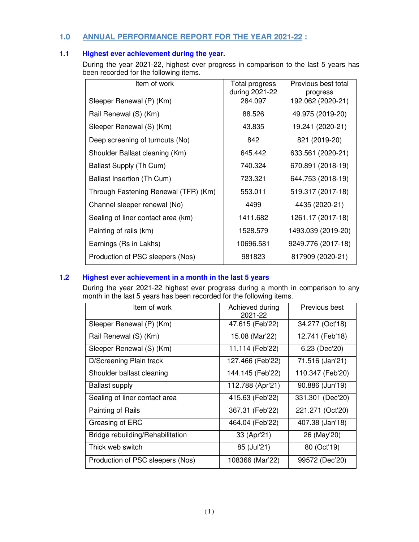# **1.0 ANNUAL PERFORMANCE REPORT FOR THE YEAR 2021-22 :**

# **1.1 Highest ever achievement during the year.**

During the year 2021-22, highest ever progress in comparison to the last 5 years has been recorded for the following items.

| Item of work                         | Total progress<br>during 2021-22 | Previous best total<br>progress<br>192.062 (2020-21) |  |
|--------------------------------------|----------------------------------|------------------------------------------------------|--|
| Sleeper Renewal (P) (Km)             | 284.097                          |                                                      |  |
| Rail Renewal (S) (Km)                | 88.526                           | 49.975 (2019-20)                                     |  |
| Sleeper Renewal (S) (Km)             | 43.835                           | 19.241 (2020-21)                                     |  |
| Deep screening of turnouts (No)      | 842                              | 821 (2019-20)                                        |  |
| Shoulder Ballast cleaning (Km)       | 645.442                          | 633.561 (2020-21)                                    |  |
| Ballast Supply (Th Cum)              | 740.324                          | 670.891 (2018-19)                                    |  |
| Ballast Insertion (Th Cum)           | 723.321                          | 644.753 (2018-19)                                    |  |
| Through Fastening Renewal (TFR) (Km) | 553.011                          | 519.317 (2017-18)                                    |  |
| Channel sleeper renewal (No)         | 4499                             | 4435 (2020-21)                                       |  |
| Sealing of liner contact area (km)   | 1411.682                         | 1261.17 (2017-18)                                    |  |
| Painting of rails (km)               | 1528.579                         | 1493.039 (2019-20)                                   |  |
| Earnings (Rs in Lakhs)               | 10696.581                        | 9249.776 (2017-18)                                   |  |
| Production of PSC sleepers (Nos)     | 981823                           | 817909 (2020-21)                                     |  |

# **1.2 Highest ever achievement in a month in the last 5 years**

During the year 2021-22 highest ever progress during a month in comparison to any month in the last 5 years has been recorded for the following items.

| Item of work                     | Achieved during<br>2021-22 | Previous best    |  |
|----------------------------------|----------------------------|------------------|--|
| Sleeper Renewal (P) (Km)         | 47.615 (Feb'22)            | 34.277 (Oct'18)  |  |
| Rail Renewal (S) (Km)            | 15.08 (Mar'22)             | 12.741 (Feb'18)  |  |
| Sleeper Renewal (S) (Km)         | 11.114 (Feb'22)            | 6.23 (Dec'20)    |  |
| D/Screening Plain track          | 127.466 (Feb'22)           | 71.516 (Jan'21)  |  |
| Shoulder ballast cleaning        | 144.145 (Feb'22)           | 110.347 (Feb'20) |  |
| <b>Ballast supply</b>            | 112.788 (Apr'21)           | 90.886 (Jun'19)  |  |
| Sealing of liner contact area    | 415.63 (Feb'22)            | 331.301 (Dec'20) |  |
| Painting of Rails                | 367.31 (Feb'22)            | 221.271 (Oct'20) |  |
| Greasing of ERC                  | 464.04 (Feb'22)            | 407.38 (Jan'18)  |  |
| Bridge rebuilding/Rehabilitation | 33 (Apr'21)                | 26 (May'20)      |  |
| Thick web switch                 | 85 (Jul'21)                | 80 (Oct'19)      |  |
| Production of PSC sleepers (Nos) | 108366 (Mar'22)            | 99572 (Dec'20)   |  |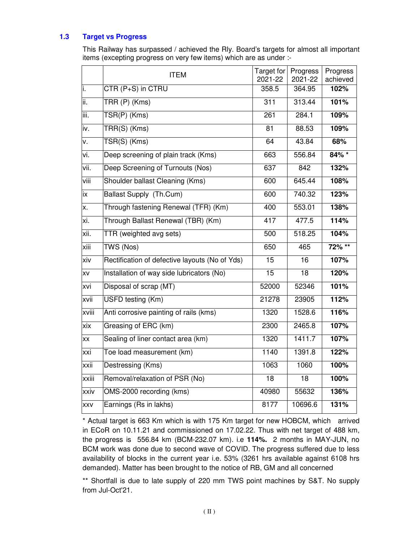### **1.3 Target vs Progress**

This Railway has surpassed / achieved the Rly. Board's targets for almost all important items (excepting progress on very few items) which are as under :-

|       | <b>ITEM</b>                                    | Target for<br>2021-22 | Progress<br>2021-22 | Progress<br>achieved |
|-------|------------------------------------------------|-----------------------|---------------------|----------------------|
| i.    | CTR (P+S) in CTRU                              | 358.5                 | 364.95              | 102%                 |
| ii.   | TRR (P) (Kms)                                  | 311                   | 313.44              | 101%                 |
| iii.  | TSR(P) (Kms)                                   | 261                   | 284.1               | 109%                 |
| iv.   | TRR(S) (Kms)                                   | 81                    | 88.53               | 109%                 |
| v.    | TSR(S) (Kms)                                   | 64                    | 43.84               | 68%                  |
| vi.   | Deep screening of plain track (Kms)            | 663                   | 556.84              | 84% *                |
| vii.  | Deep Screening of Turnouts (Nos)               | 637                   | 842                 | 132%                 |
| viii  | Shoulder ballast Cleaning (Kms)                | 600                   | 645.44              | 108%                 |
| ix    | Ballast Supply (Th.Cum)                        | 600                   | 740.32              | 123%                 |
| X.    | Through fastening Renewal (TFR) (Km)           | 400                   | 553.01              | 138%                 |
| xi.   | Through Ballast Renewal (TBR) (Km)             | 417                   | 477.5               | 114%                 |
| xii.  | TTR (weighted avg sets)                        | 500                   | 518.25              | 104%                 |
| xiii  | TWS (Nos)                                      | 650                   | 465                 | 72% **               |
| xiv   | Rectification of defective layouts (No of Yds) | $\overline{15}$       | 16                  | 107%                 |
| XV    | Installation of way side lubricators (No)      | 15                    | $\overline{18}$     | 120%                 |
| xvi   | Disposal of scrap (MT)                         | 52000                 | 52346               | 101%                 |
| xvii  | USFD testing (Km)                              | 21278                 | 23905               | 112%                 |
| xviii | Anti corrosive painting of rails (kms)         | 1320                  | 1528.6              | 116%                 |
| xix   | Greasing of ERC (km)                           | 2300                  | 2465.8              | 107%                 |
| XX    | Sealing of liner contact area (km)             | 1320                  | 1411.7              | 107%                 |
| xxi   | Toe load measurement (km)                      | 1140                  | 1391.8              | 122%                 |
| xxii  | Destressing (Kms)                              | 1063                  | 1060                | 100%                 |
| xxiii | Removal/relaxation of PSR (No)                 | $\overline{18}$       | 18                  | 100%                 |
| xxiv  | OMS-2000 recording (kms)                       | 40980                 | 55632               | 136%                 |
| XXV   | Earnings (Rs in lakhs)                         | 8177                  | 10696.6             | 131%                 |

\* Actual target is 663 Km which is with 175 Km target for new HOBCM, which arrived in ECoR on 10.11.21 and commissioned on 17.02.22. Thus with net target of 488 km, the progress is 556.84 km (BCM-232.07 km). i.e **114%.** 2 months in MAY-JUN, no BCM work was done due to second wave of COVID. The progress suffered due to less availability of blocks in the current year i.e. 53% (3261 hrs available against 6108 hrs demanded). Matter has been brought to the notice of RB, GM and all concerned

\*\* Shortfall is due to late supply of 220 mm TWS point machines by S&T. No supply from Jul-Oct'21.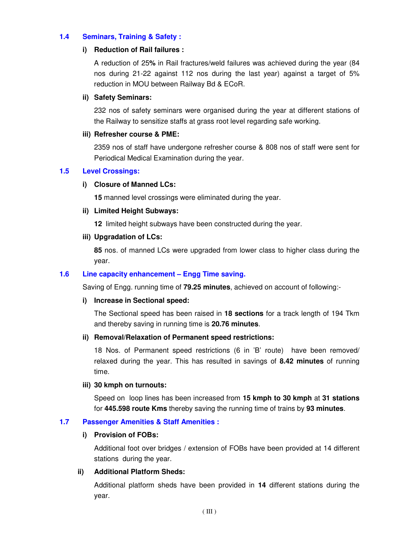### **1.4 Seminars, Training & Safety :**

#### **i) Reduction of Rail failures :**

A reduction of 25**%** in Rail fractures/weld failures was achieved during the year (84 nos during 21-22 against 112 nos during the last year) against a target of 5% reduction in MOU between Railway Bd & ECoR.

#### **ii) Safety Seminars:**

 232 nos of safety seminars were organised during the year at different stations of the Railway to sensitize staffs at grass root level regarding safe working.

#### **iii) Refresher course & PME:**

 2359 nos of staff have undergone refresher course & 808 nos of staff were sent for Periodical Medical Examination during the year.

### **1.5 Level Crossings:**

#### **i) Closure of Manned LCs:**

**15** manned level crossings were eliminated during the year.

#### **ii) Limited Height Subways:**

**12** limited height subways have been constructed during the year.

#### **iii) Upgradation of LCs:**

**85** nos. of manned LCs were upgraded from lower class to higher class during the year.

### **1.6 Line capacity enhancement – Engg Time saving.**

Saving of Engg. running time of **79.25 minutes**, achieved on account of following:-

#### **i) Increase in Sectional speed:**

 The Sectional speed has been raised in **18 sections** for a track length of 194 Tkm and thereby saving in running time is **20.76 minutes**.

#### **ii) Removal/Relaxation of Permanent speed restrictions:**

18 Nos. of Permanent speed restrictions (6 in 'B' route) have been removed/ relaxed during the year. This has resulted in savings of **8.42 minutes** of running time.

#### **iii) 30 kmph on turnouts:**

Speed on loop lines has been increased from **15 kmph to 30 kmph** at **31 stations** for **445.598 route Kms** thereby saving the running time of trains by **93 minutes**.

### **1.7 Passenger Amenities & Staff Amenities :**

#### **i) Provision of FOBs:**

Additional foot over bridges / extension of FOBs have been provided at 14 different stations during the year.

#### **ii) Additional Platform Sheds:**

Additional platform sheds have been provided in **14** different stations during the year.